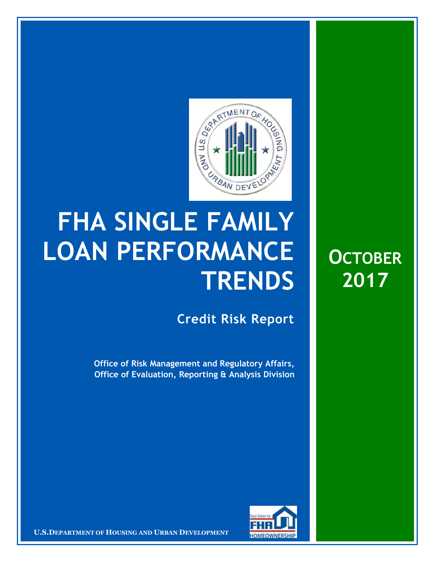

## **FHA SINGLE FAMILY LOAN PERFORMANCE TRENDS**

**Credit Risk Report**

**OCTOBER**

**2017**

**Office of Risk Management and Regulatory Affairs, Office of Evaluation, Reporting & Analysis Division**



**U.S.DEPARTMENT OF HOUSING AND URBAN DEVELOPMENT**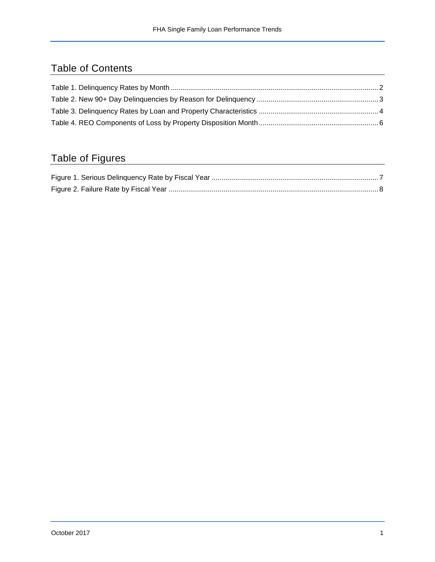## Table of Contents

## Table of Figures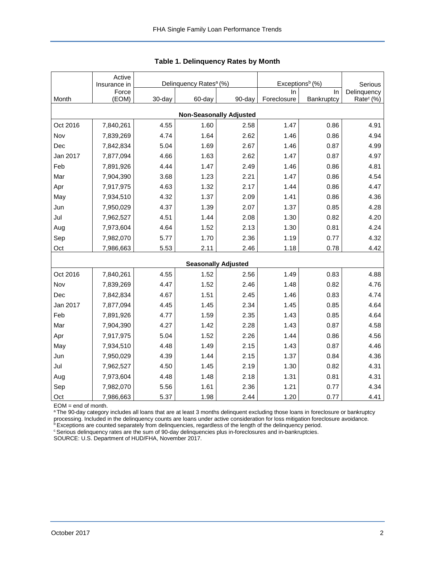<span id="page-2-0"></span>

|                                | Active<br>Insurance in |        | Delinquency Rates <sup>a</sup> (%) |                            | Exceptions <sup>b</sup> (%) | Serious    |                       |  |  |  |  |
|--------------------------------|------------------------|--------|------------------------------------|----------------------------|-----------------------------|------------|-----------------------|--|--|--|--|
|                                | Force                  |        |                                    |                            | ln.                         | In.        | Delinquency           |  |  |  |  |
| Month                          | (EOM)                  | 30-day | 60-day                             | 90-day                     | Foreclosure                 | Bankruptcy | Rate <sup>c</sup> (%) |  |  |  |  |
| <b>Non-Seasonally Adjusted</b> |                        |        |                                    |                            |                             |            |                       |  |  |  |  |
| Oct 2016                       | 7,840,261              | 4.55   | 1.60                               | 2.58                       | 1.47                        | 0.86       | 4.91                  |  |  |  |  |
| Nov                            | 7,839,269              | 4.74   | 1.64                               | 2.62                       | 1.46                        | 0.86       | 4.94                  |  |  |  |  |
| Dec                            | 7,842,834              | 5.04   | 1.69                               | 2.67                       | 1.46                        | 0.87       | 4.99                  |  |  |  |  |
| Jan 2017                       | 7,877,094              | 4.66   | 1.63                               | 2.62                       | 1.47                        | 0.87       | 4.97                  |  |  |  |  |
| Feb                            | 7,891,926              | 4.44   | 1.47                               | 2.49                       | 1.46                        | 0.86       | 4.81                  |  |  |  |  |
| Mar                            | 7,904,390              | 3.68   | 1.23                               | 2.21                       | 1.47                        | 0.86       | 4.54                  |  |  |  |  |
| Apr                            | 7,917,975              | 4.63   | 1.32                               | 2.17                       | 1.44                        | 0.86       | 4.47                  |  |  |  |  |
| May                            | 7,934,510              | 4.32   | 1.37                               | 2.09                       | 1.41                        | 0.86       | 4.36                  |  |  |  |  |
| Jun                            | 7,950,029              | 4.37   | 1.39                               | 2.07                       | 1.37                        | 0.85       | 4.28                  |  |  |  |  |
| Jul                            | 7,962,527              | 4.51   | 1.44                               | 2.08                       | 1.30                        | 0.82       | 4.20                  |  |  |  |  |
| Aug                            | 7,973,604              | 4.64   | 1.52                               | 2.13                       | 1.30                        | 0.81       | 4.24                  |  |  |  |  |
| Sep                            | 7,982,070              | 5.77   | 1.70                               | 2.36                       | 1.19                        | 0.77       | 4.32                  |  |  |  |  |
| Oct                            | 7,986,663              | 5.53   | 2.11                               | 2.46                       | 1.18                        | 0.78       | 4.42                  |  |  |  |  |
|                                |                        |        |                                    | <b>Seasonally Adjusted</b> |                             |            |                       |  |  |  |  |
| Oct 2016                       | 7,840,261              | 4.55   | 1.52                               | 2.56                       | 1.49                        | 0.83       | 4.88                  |  |  |  |  |
| Nov                            | 7,839,269              | 4.47   | 1.52                               | 2.46                       | 1.48                        | 0.82       | 4.76                  |  |  |  |  |
| Dec                            | 7,842,834              | 4.67   | 1.51                               | 2.45                       | 1.46                        | 0.83       | 4.74                  |  |  |  |  |
| Jan 2017                       | 7,877,094              | 4.45   | 1.45                               | 2.34                       | 1.45                        | 0.85       | 4.64                  |  |  |  |  |
| Feb                            | 7,891,926              | 4.77   | 1.59                               | 2.35                       | 1.43                        | 0.85       | 4.64                  |  |  |  |  |
| Mar                            | 7,904,390              | 4.27   | 1.42                               | 2.28                       | 1.43                        | 0.87       | 4.58                  |  |  |  |  |
| Apr                            | 7,917,975              | 5.04   | 1.52                               | 2.26                       | 1.44                        | 0.86       | 4.56                  |  |  |  |  |
| May                            | 7,934,510              | 4.48   | 1.49                               | 2.15                       | 1.43                        | 0.87       | 4.46                  |  |  |  |  |
| Jun                            | 7,950,029              | 4.39   | 1.44                               | 2.15                       | 1.37                        | 0.84       | 4.36                  |  |  |  |  |
| Jul                            | 7,962,527              | 4.50   | 1.45                               | 2.19                       | 1.30                        | 0.82       | 4.31                  |  |  |  |  |
| Aug                            | 7,973,604              | 4.48   | 1.48                               | 2.18                       | 1.31                        | 0.81       | 4.31                  |  |  |  |  |
| Sep                            | 7,982,070              | 5.56   | 1.61                               | 2.36                       | 1.21                        | 0.77       | 4.34                  |  |  |  |  |
| Oct                            | 7,986,663              | 5.37   | 1.98                               | 2.44                       | 1.20                        | 0.77       | 4.41                  |  |  |  |  |

**Table 1. Delinquency Rates by Month**

EOM = end of month.

a The 90-day category includes all loans that are at least 3 months delinquent excluding those loans in foreclosure or bankruptcy processing. Included in the delinquency counts are loans under active consideration for loss mitigation foreclosure avoidance.

**bExceptions are counted separately from delinquencies, regardless of the length of the delinquency period.** 

<sup>c</sup> Serious delinquency rates are the sum of 90-day delinquencies plus in-foreclosures and in-bankruptcies.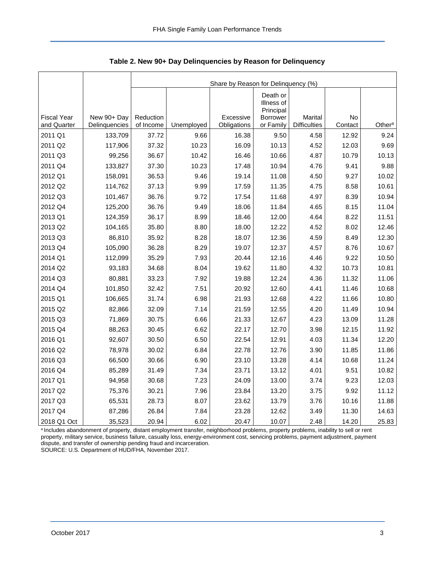|                    |               | Share by Reason for Delinquency (%) |            |             |                                                 |                     |         |                    |  |  |  |  |
|--------------------|---------------|-------------------------------------|------------|-------------|-------------------------------------------------|---------------------|---------|--------------------|--|--|--|--|
| <b>Fiscal Year</b> | New 90+ Day   | Reduction                           |            | Excessive   | Death or<br>Illness of<br>Principal<br>Borrower | Marital             | No      |                    |  |  |  |  |
| and Quarter        | Delinquencies | of Income                           | Unemployed | Obligations | or Family                                       | <b>Difficulties</b> | Contact | Other <sup>a</sup> |  |  |  |  |
| 2011 Q1            | 133,709       | 37.72                               | 9.66       | 16.38       | 9.50                                            | 4.58                | 12.92   | 9.24               |  |  |  |  |
| 2011 Q2            | 117,906       | 37.32                               | 10.23      | 16.09       | 10.13                                           | 4.52                | 12.03   | 9.69               |  |  |  |  |
| 2011 Q3            | 99,256        | 36.67                               | 10.42      | 16.46       | 10.66                                           | 4.87                | 10.79   | 10.13              |  |  |  |  |
| 2011 Q4            | 133,827       | 37.30                               | 10.23      | 17.48       | 10.94                                           | 4.76                | 9.41    | 9.88               |  |  |  |  |
| 2012 Q1            | 158,091       | 36.53                               | 9.46       | 19.14       | 11.08                                           | 4.50                | 9.27    | 10.02              |  |  |  |  |
| 2012 Q2            | 114,762       | 37.13                               | 9.99       | 17.59       | 11.35                                           | 4.75                | 8.58    | 10.61              |  |  |  |  |
| 2012 Q3            | 101,467       | 36.76                               | 9.72       | 17.54       | 11.68                                           | 4.97                | 8.39    | 10.94              |  |  |  |  |
| 2012 Q4            | 125,200       | 36.76                               | 9.49       | 18.06       | 11.84                                           | 4.65                | 8.15    | 11.04              |  |  |  |  |
| 2013 Q1            | 124,359       | 36.17                               | 8.99       | 18.46       | 12.00                                           | 4.64                | 8.22    | 11.51              |  |  |  |  |
| 2013 Q2            | 104,165       | 35.80                               | 8.80       | 18.00       | 12.22                                           | 4.52                | 8.02    | 12.46              |  |  |  |  |
| 2013 Q3            | 86,810        | 35.92                               | 8.28       | 18.07       | 12.36                                           | 4.59                | 8.49    | 12.30              |  |  |  |  |
| 2013 Q4            | 105,090       | 36.28                               | 8.29       | 19.07       | 12.37                                           | 4.57                | 8.76    | 10.67              |  |  |  |  |
| 2014 Q1            | 112,099       | 35.29                               | 7.93       | 20.44       | 12.16                                           | 4.46                | 9.22    | 10.50              |  |  |  |  |
| 2014 Q2            | 93,183        | 34.68                               | 8.04       | 19.62       | 11.80                                           | 4.32                | 10.73   | 10.81              |  |  |  |  |
| 2014 Q3            | 80,881        | 33.23                               | 7.92       | 19.88       | 12.24                                           | 4.36                | 11.32   | 11.06              |  |  |  |  |
| 2014 Q4            | 101,850       | 32.42                               | 7.51       | 20.92       | 12.60                                           | 4.41                | 11.46   | 10.68              |  |  |  |  |
| 2015 Q1            | 106,665       | 31.74                               | 6.98       | 21.93       | 12.68                                           | 4.22                | 11.66   | 10.80              |  |  |  |  |
| 2015 Q2            | 82,866        | 32.09                               | 7.14       | 21.59       | 12.55                                           | 4.20                | 11.49   | 10.94              |  |  |  |  |
| 2015 Q3            | 71,869        | 30.75                               | 6.66       | 21.33       | 12.67                                           | 4.23                | 13.09   | 11.28              |  |  |  |  |
| 2015 Q4            | 88,263        | 30.45                               | 6.62       | 22.17       | 12.70                                           | 3.98                | 12.15   | 11.92              |  |  |  |  |
| 2016 Q1            | 92,607        | 30.50                               | 6.50       | 22.54       | 12.91                                           | 4.03                | 11.34   | 12.20              |  |  |  |  |
| 2016 Q2            | 78,978        | 30.02                               | 6.84       | 22.78       | 12.76                                           | 3.90                | 11.85   | 11.86              |  |  |  |  |
| 2016 Q3            | 66,500        | 30.66                               | 6.90       | 23.10       | 13.28                                           | 4.14                | 10.68   | 11.24              |  |  |  |  |
| 2016 Q4            | 85,289        | 31.49                               | 7.34       | 23.71       | 13.12                                           | 4.01                | 9.51    | 10.82              |  |  |  |  |
| 2017 Q1            | 94,958        | 30.68                               | 7.23       | 24.09       | 13.00                                           | 3.74                | 9.23    | 12.03              |  |  |  |  |
| 2017 Q2            | 75,376        | 30.21                               | 7.96       | 23.84       | 13.20                                           | 3.75                | 9.92    | 11.12              |  |  |  |  |
| 2017 Q3            | 65,531        | 28.73                               | 8.07       | 23.62       | 13.79                                           | 3.76                | 10.16   | 11.88              |  |  |  |  |
| 2017 Q4            | 87,286        | 26.84                               | 7.84       | 23.28       | 12.62                                           | 3.49                | 11.30   | 14.63              |  |  |  |  |
| 2018 Q1 Oct        | 35,523        | 20.94                               | 6.02       | 20.47       | 10.07                                           | 2.48                | 14.20   | 25.83              |  |  |  |  |

<span id="page-3-0"></span>**Table 2. New 90+ Day Delinquencies by Reason for Delinquency**

a Includes abandonment of property, distant employment transfer, neighborhood problems, property problems, inability to sell or rent property, military service, business failure, casualty loss, energy-environment cost, servicing problems, payment adjustment, payment dispute, and transfer of ownership pending fraud and incarceration. SOURCE: U.S. Department of HUD/FHA, November 2017.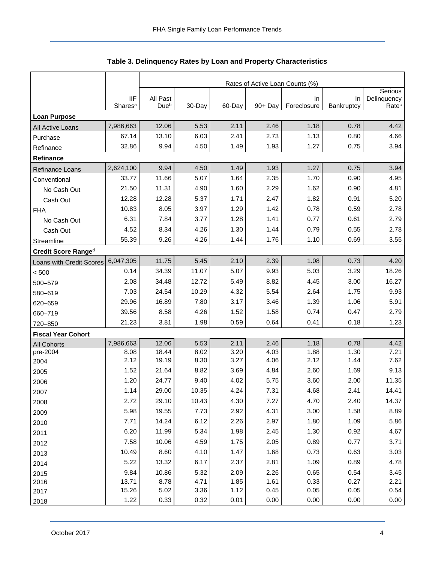<span id="page-4-0"></span>

|                           |                                   | Rates of Active Loan Counts (%) |              |              |              |                          |                  |                                  |  |  |  |
|---------------------------|-----------------------------------|---------------------------------|--------------|--------------|--------------|--------------------------|------------------|----------------------------------|--|--|--|
|                           |                                   |                                 |              |              |              |                          |                  |                                  |  |  |  |
|                           | <b>IIF</b><br>Shares <sup>a</sup> | All Past<br>Dueb                | 30-Day       | 60-Day       | 90+ Day      | <b>In</b><br>Foreclosure | In<br>Bankruptcy | Delinquency<br>Rate <sup>c</sup> |  |  |  |
| <b>Loan Purpose</b>       |                                   |                                 |              |              |              |                          |                  |                                  |  |  |  |
| All Active Loans          | 7,986,663                         | 12.06                           | 5.53         | 2.11         | 2.46         | 1.18                     | 0.78             | 4.42                             |  |  |  |
| Purchase                  | 67.14                             | 13.10                           | 6.03         | 2.41         | 2.73         | 1.13                     | 0.80             | 4.66                             |  |  |  |
| Refinance                 | 32.86                             | 9.94                            | 4.50         | 1.49         | 1.93         | 1.27                     | 0.75             | 3.94                             |  |  |  |
| Refinance                 |                                   |                                 |              |              |              |                          |                  |                                  |  |  |  |
| Refinance Loans           | 2,624,100                         | 9.94                            | 4.50         | 1.49         | 1.93         | 1.27                     | 0.75             | 3.94                             |  |  |  |
| Conventional              | 33.77                             | 11.66                           | 5.07         | 1.64         | 2.35         | 1.70                     | 0.90             | 4.95                             |  |  |  |
| No Cash Out               | 21.50                             | 11.31                           | 4.90         | 1.60         | 2.29         | 1.62                     | 0.90             | 4.81                             |  |  |  |
| Cash Out                  | 12.28                             | 12.28                           | 5.37         | 1.71         | 2.47         | 1.82                     | 0.91             | 5.20                             |  |  |  |
| <b>FHA</b>                | 10.83                             | 8.05                            | 3.97         | 1.29         | 1.42         | 0.78                     | 0.59             | 2.78                             |  |  |  |
| No Cash Out               | 6.31                              | 7.84                            | 3.77         | 1.28         | 1.41         | 0.77                     | 0.61             | 2.79                             |  |  |  |
| Cash Out                  | 4.52                              | 8.34                            | 4.26         | 1.30         | 1.44         | 0.79                     | 0.55             | 2.78                             |  |  |  |
| Streamline                | 55.39                             | 9.26                            | 4.26         | 1.44         | 1.76         | 1.10                     | 0.69             | 3.55                             |  |  |  |
| Credit Score Ranged       |                                   |                                 |              |              |              |                          |                  |                                  |  |  |  |
| Loans with Credit Scores  | 6,047,305                         | 11.75                           | 5.45         | 2.10         | 2.39         | 1.08                     | 0.73             | 4.20                             |  |  |  |
| < 500                     | 0.14                              | 34.39                           | 11.07        | 5.07         | 9.93         | 5.03                     | 3.29             | 18.26                            |  |  |  |
| 500-579                   | 2.08                              | 34.48                           | 12.72        | 5.49         | 8.82         | 4.45                     | 3.00             | 16.27                            |  |  |  |
| 580-619                   | 7.03                              | 24.54                           | 10.29        | 4.32         | 5.54         | 2.64                     | 1.75             | 9.93                             |  |  |  |
| 620-659                   | 29.96                             | 16.89                           | 7.80         | 3.17         | 3.46         | 1.39                     | 1.06             | 5.91                             |  |  |  |
| 660-719                   | 39.56                             | 8.58                            | 4.26         | 1.52         | 1.58         | 0.74                     | 0.47             | 2.79                             |  |  |  |
| 720-850                   | 21.23                             | 3.81                            | 1.98         | 0.59         | 0.64         | 0.41                     | 0.18             | 1.23                             |  |  |  |
| <b>Fiscal Year Cohort</b> |                                   |                                 |              |              |              |                          |                  |                                  |  |  |  |
| <b>All Cohorts</b>        | 7,986,663                         | 12.06                           | 5.53         | 2.11         | 2.46         | 1.18                     | 0.78             | 4.42                             |  |  |  |
| pre-2004                  | 8.08<br>2.12                      | 18.44<br>19.19                  | 8.02<br>8.30 | 3.20<br>3.27 | 4.03<br>4.06 | 1.88<br>2.12             | 1.30             | 7.21<br>7.62                     |  |  |  |
| 2004                      | 1.52                              | 21.64                           | 8.82         | 3.69         | 4.84         | 2.60                     | 1.44<br>1.69     | 9.13                             |  |  |  |
| 2005                      | 1.20                              | 24.77                           | 9.40         | 4.02         | 5.75         | 3.60                     | 2.00             | 11.35                            |  |  |  |
| 2006                      | 1.14                              | 29.00                           | 10.35        | 4.24         | 7.31         | 4.68                     | 2.41             | 14.41                            |  |  |  |
| 2007                      | 2.72                              | 29.10                           | 10.43        | 4.30         | 7.27         | 4.70                     | 2.40             | 14.37                            |  |  |  |
| 2008                      | 5.98                              | 19.55                           | 7.73         | 2.92         | 4.31         | 3.00                     | 1.58             | 8.89                             |  |  |  |
| 2009<br>2010              | 7.71                              | 14.24                           | 6.12         | 2.26         | 2.97         | 1.80                     | 1.09             | 5.86                             |  |  |  |
| 2011                      | 6.20                              | 11.99                           | 5.34         | 1.98         | 2.45         | 1.30                     | 0.92             | 4.67                             |  |  |  |
| 2012                      | 7.58                              | 10.06                           | 4.59         | 1.75         | 2.05         | 0.89                     | 0.77             | 3.71                             |  |  |  |
| 2013                      | 10.49                             | 8.60                            | 4.10         | 1.47         | 1.68         | 0.73                     | 0.63             | 3.03                             |  |  |  |
| 2014                      | 5.22                              | 13.32                           | 6.17         | 2.37         | 2.81         | 1.09                     | 0.89             | 4.78                             |  |  |  |
| 2015                      | 9.84                              | 10.86                           | 5.32         | 2.09         | 2.26         | 0.65                     | 0.54             | 3.45                             |  |  |  |
| 2016                      | 13.71                             | 8.78                            | 4.71         | 1.85         | 1.61         | 0.33                     | 0.27             | 2.21                             |  |  |  |
| 2017                      | 15.26                             | 5.02                            | 3.36         | 1.12         | 0.45         | 0.05                     | 0.05             | 0.54                             |  |  |  |
| 2018                      | 1.22                              | 0.33                            | 0.32         | 0.01         | 0.00         | 0.00                     | 0.00             | 0.00                             |  |  |  |

**Table 3. Delinquency Rates by Loan and Property Characteristics**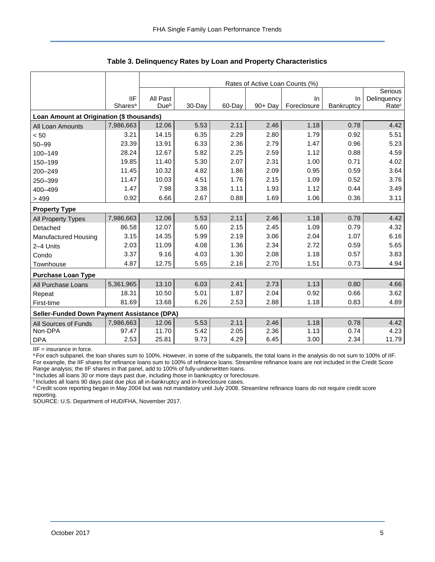|                                             |                     | Rates of Active Loan Counts (%) |        |        |         |             |            |                   |  |  |  |
|---------------------------------------------|---------------------|---------------------------------|--------|--------|---------|-------------|------------|-------------------|--|--|--|
|                                             |                     |                                 |        |        |         |             |            | Serious           |  |  |  |
|                                             | <b>IIF</b>          | All Past                        |        |        |         | In.         | In         | Delinquency       |  |  |  |
|                                             | Shares <sup>a</sup> | Due <sup>b</sup>                | 30-Day | 60-Day | 90+ Day | Foreclosure | Bankruptcy | Rate <sup>c</sup> |  |  |  |
| Loan Amount at Origination (\$ thousands)   |                     |                                 |        |        |         |             |            |                   |  |  |  |
| All Loan Amounts                            | 7,986,663           | 12.06                           | 5.53   | 2.11   | 2.46    | 1.18        | 0.78       | 4.42              |  |  |  |
| $< 50$                                      | 3.21                | 14.15                           | 6.35   | 2.29   | 2.80    | 1.79        | 0.92       | 5.51              |  |  |  |
| $50 - 99$                                   | 23.39               | 13.91                           | 6.33   | 2.36   | 2.79    | 1.47        | 0.96       | 5.23              |  |  |  |
| 100-149                                     | 28.24               | 12.67                           | 5.82   | 2.25   | 2.59    | 1.12        | 0.88       | 4.59              |  |  |  |
| 150-199                                     | 19.85               | 11.40                           | 5.30   | 2.07   | 2.31    | 1.00        | 0.71       | 4.02              |  |  |  |
| 200-249                                     | 11.45               | 10.32                           | 4.82   | 1.86   | 2.09    | 0.95        | 0.59       | 3.64              |  |  |  |
| 250-399                                     | 11.47               | 10.03                           | 4.51   | 1.76   | 2.15    | 1.09        | 0.52       | 3.76              |  |  |  |
| 400-499                                     | 1.47                | 7.98                            | 3.38   | 1.11   | 1.93    | 1.12        | 0.44       | 3.49              |  |  |  |
| >499                                        | 0.92                | 6.66                            | 2.67   | 0.88   | 1.69    | 1.06        | 0.36       | 3.11              |  |  |  |
| <b>Property Type</b>                        |                     |                                 |        |        |         |             |            |                   |  |  |  |
| All Property Types                          | 7,986,663           | 12.06                           | 5.53   | 2.11   | 2.46    | 1.18        | 0.78       | 4.42              |  |  |  |
| Detached                                    | 86.58               | 12.07                           | 5.60   | 2.15   | 2.45    | 1.09        | 0.79       | 4.32              |  |  |  |
| Manufactured Housing                        | 3.15                | 14.35                           | 5.99   | 2.19   | 3.06    | 2.04        | 1.07       | 6.16              |  |  |  |
| 2-4 Units                                   | 2.03                | 11.09                           | 4.08   | 1.36   | 2.34    | 2.72        | 0.59       | 5.65              |  |  |  |
| Condo                                       | 3.37                | 9.16                            | 4.03   | 1.30   | 2.08    | 1.18        | 0.57       | 3.83              |  |  |  |
| Townhouse                                   | 4.87                | 12.75                           | 5.65   | 2.16   | 2.70    | 1.51        | 0.73       | 4.94              |  |  |  |
| <b>Purchase Loan Type</b>                   |                     |                                 |        |        |         |             |            |                   |  |  |  |
| All Purchase Loans                          | 5,361,965           | 13.10                           | 6.03   | 2.41   | 2.73    | 1.13        | 0.80       | 4.66              |  |  |  |
| Repeat                                      | 18.31               | 10.50                           | 5.01   | 1.87   | 2.04    | 0.92        | 0.66       | 3.62              |  |  |  |
| First-time                                  | 81.69               | 13.68                           | 6.26   | 2.53   | 2.88    | 1.18        | 0.83       | 4.89              |  |  |  |
| Seller-Funded Down Payment Assistance (DPA) |                     |                                 |        |        |         |             |            |                   |  |  |  |
| All Sources of Funds                        | 7,986,663           | 12.06                           | 5.53   | 2.11   | 2.46    | 1.18        | 0.78       | 4.42              |  |  |  |
| Non-DPA                                     | 97.47               | 11.70                           | 5.42   | 2.05   | 2.36    | 1.13        | 0.74       | 4.23              |  |  |  |
| <b>DPA</b>                                  | 2.53                | 25.81                           | 9.73   | 4.29   | 6.45    | 3.00        | 2.34       | 11.79             |  |  |  |

**Table 3. Delinquency Rates by Loan and Property Characteristics**

IIF = insurance in force.

a For each subpanel, the loan shares sum to 100%. However, in some of the subpanels, the total loans in the analysis do not sum to 100% of IIF. For example, the IIF shares for refinance loans sum to 100% of refinance loans. Streamline refinance loans are not included in the Credit Score Range analysis; the IIF shares in that panel, add to 100% of fully-underwritten loans.

**b** Includes all loans 30 or more days past due, including those in bankruptcy or foreclosure.

<sup>c</sup> Includes all loans 90 days past due plus all in-bankruptcy and in-foreclosure cases.

<sup>d</sup> Credit score reporting began in May 2004 but was not mandatory until July 2008. Streamline refinance loans do not require credit score reporting.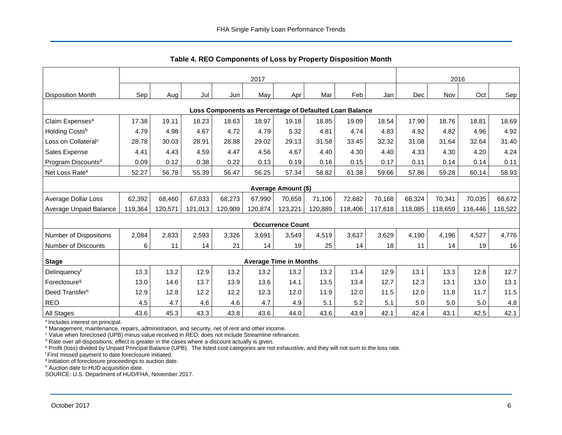<span id="page-6-0"></span>

|                                                         | 2017    |         |         |         |         |                               |         |         |         |         | 2016    |         |         |  |
|---------------------------------------------------------|---------|---------|---------|---------|---------|-------------------------------|---------|---------|---------|---------|---------|---------|---------|--|
| <b>Disposition Month</b>                                | Sep     | Aug     | Jul     | Jun     | May     | Apr                           | Mar     | Feb     | Jan     | Dec     | Nov     | Oct     | Sep     |  |
| Loss Components as Percentage of Defaulted Loan Balance |         |         |         |         |         |                               |         |         |         |         |         |         |         |  |
| Claim Expenses <sup>a</sup>                             | 17.38   | 19.11   | 18.23   | 18.63   | 18.97   | 19.18                         | 18.85   | 19.09   | 18.54   | 17.90   | 18.76   | 18.81   | 18.69   |  |
| Holding Costsb                                          | 4.79    | 4.98    | 4.67    | 4.72    | 4.79    | 5.32                          | 4.81    | 4.74    | 4.83    | 4.92    | 4.82    | 4.96    | 4.92    |  |
| Loss on Collateral <sup>c</sup>                         | 28.78   | 30.03   | 28.91   | 28.88   | 29.02   | 29.13                         | 31.58   | 33.45   | 32.32   | 31.08   | 31.64   | 32.64   | 31.40   |  |
| Sales Expense                                           | 4.41    | 4.43    | 4.59    | 4.47    | 4.56    | 4.67                          | 4.40    | 4.30    | 4.40    | 4.33    | 4.30    | 4.20    | 4.24    |  |
| Program Discounts <sup>d</sup>                          | 0.09    | 0.12    | 0.38    | 0.22    | 0.13    | 0.19                          | 0.16    | 0.15    | 0.17    | 0.11    | 0.14    | 0.14    | 0.11    |  |
| Net Loss Rate <sup>e</sup>                              | 52.27   | 56.78   | 55.39   | 56.47   | 56.25   | 57.34                         | 58.82   | 61.38   | 59.66   | 57.86   | 59.28   | 60.14   | 58.93   |  |
|                                                         |         |         |         |         |         | Average Amount (\$)           |         |         |         |         |         |         |         |  |
| Average Dollar Loss                                     | 62,392  | 68,460  | 67,033  | 68,273  | 67,990  | 70,658                        | 71,106  | 72,682  | 70,168  | 68,324  | 70,341  | 70,035  | 68,672  |  |
| Average Unpaid Balance                                  | 119,364 | 120,571 | 121,013 | 120,909 | 120,874 | 123,221                       | 120,889 | 118,406 | 117,618 | 118,085 | 118,659 | 116,446 | 116,522 |  |
|                                                         |         |         |         |         |         | <b>Occurrence Count</b>       |         |         |         |         |         |         |         |  |
| Number of Dispositions                                  | 2,084   | 2,833   | 2,593   | 3,326   | 3,691   | 3,549                         | 4,519   | 3,637   | 3,629   | 4,190   | 4,196   | 4,527   | 4,776   |  |
| Number of Discounts                                     | 6       | 11      | 14      | 21      | 14      | 19                            | 25      | 14      | 18      | 11      | 14      | 19      | 16      |  |
| <b>Stage</b>                                            |         |         |         |         |         | <b>Average Time in Months</b> |         |         |         |         |         |         |         |  |
| Delinquencyf                                            | 13.3    | 13.2    | 12.9    | 13.2    | 13.2    | 13.2                          | 13.2    | 13.4    | 12.9    | 13.1    | 13.3    | 12.8    | 12.7    |  |
| Foreclosure <sup>g</sup>                                | 13.0    | 14.6    | 13.7    | 13.9    | 13.6    | 14.1                          | 13.5    | 13.4    | 12.7    | 12.3    | 13.1    | 13.0    | 13.1    |  |
| Deed Transferh                                          | 12.9    | 12.8    | 12.2    | 12.2    | 12.3    | 12.0                          | 11.9    | 12.0    | 11.5    | 12.0    | 11.8    | 11.7    | 11.5    |  |
| <b>REO</b>                                              | 4.5     | 4.7     | 4.6     | 4.6     | 4.7     | 4.9                           | 5.1     | 5.2     | 5.1     | 5.0     | 5.0     | 5.0     | 4.8     |  |
| All Stages                                              | 43.6    | 45.3    | 43.3    | 43.8    | 43.6    | 44.0                          | 43.6    | 43.9    | 42.1    | 42.4    | 43.1    | 42.5    | 42.1    |  |

**Table 4. REO Components of Loss by Property Disposition Month**

<sup>a</sup> Includes interest on principal.

**b** Management, maintenance, repairs, administration, and security, net of rent and other income.

<sup>c</sup> Value when foreclosed (UPB) minus value received in REO; does not include Streamline refinances.

 $d$  Rate over all dispositions; effect is greater in the cases where a discount actually is given.

<sup>e</sup> Profit (loss) divided by Unpaid Principal Balance (UPB). The listed cost categories are not exhaustive, and they will not sum to the loss rate.

<sup>f</sup> First missed payment to date foreclosure initiated.

<sup>g</sup> Initiation of foreclosure proceedings to auction date.

h Auction date to HUD acquisition date.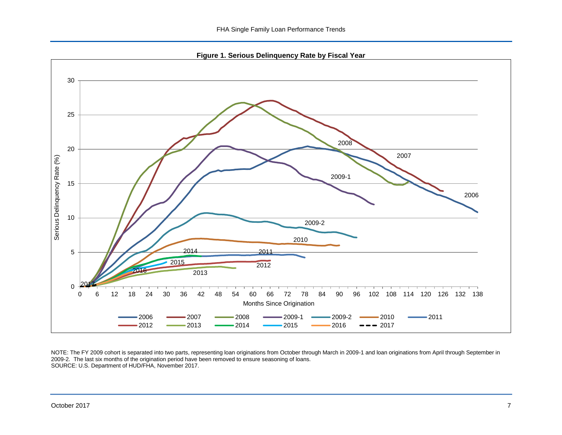**Figure 1. Serious Delinquency Rate by Fiscal Year**

<span id="page-7-0"></span>

NOTE: The FY 2009 cohort is separated into two parts, representing loan originations from October through March in 2009-1 and loan originations from April through September in 2009-2. The last six months of the origination period have been removed to ensure seasoning of loans. SOURCE: U.S. Department of HUD/FHA, November 2017.